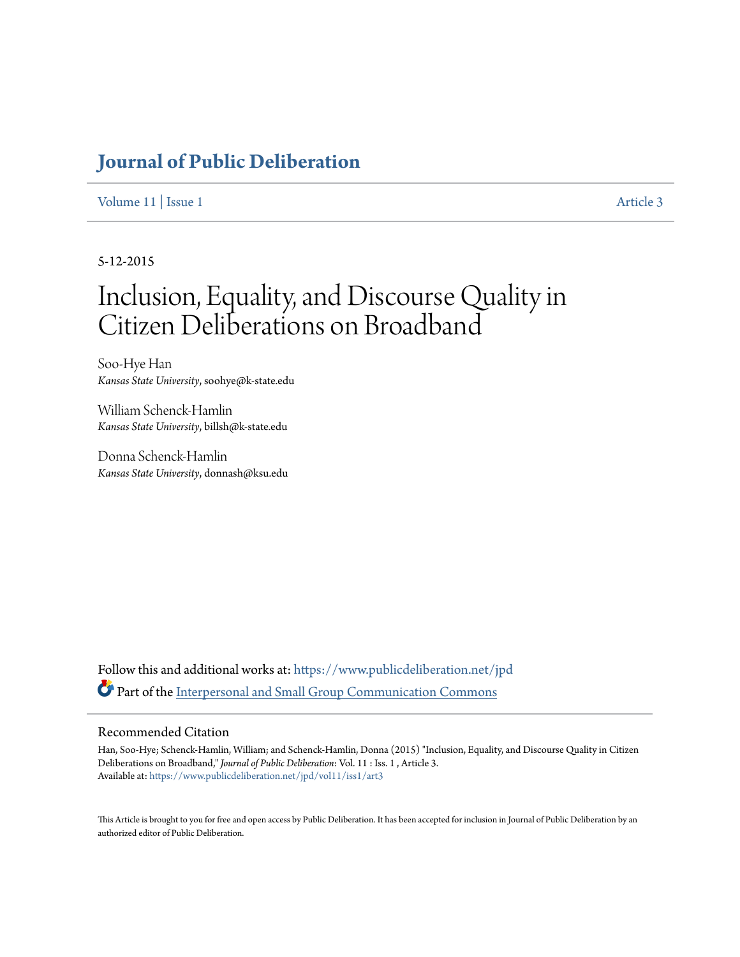# **[Journal of Public Deliberation](https://www.publicdeliberation.net/jpd?utm_source=www.publicdeliberation.net%2Fjpd%2Fvol11%2Fiss1%2Fart3&utm_medium=PDF&utm_campaign=PDFCoverPages)**

[Volume 11](https://www.publicdeliberation.net/jpd/vol11?utm_source=www.publicdeliberation.net%2Fjpd%2Fvol11%2Fiss1%2Fart3&utm_medium=PDF&utm_campaign=PDFCoverPages) | [Issue 1](https://www.publicdeliberation.net/jpd/vol11/iss1?utm_source=www.publicdeliberation.net%2Fjpd%2Fvol11%2Fiss1%2Fart3&utm_medium=PDF&utm_campaign=PDFCoverPages) [Article 3](https://www.publicdeliberation.net/jpd/vol11/iss1/art3?utm_source=www.publicdeliberation.net%2Fjpd%2Fvol11%2Fiss1%2Fart3&utm_medium=PDF&utm_campaign=PDFCoverPages)

5-12-2015

# Inclusion, Equality, and Discourse Quality in Citizen Deliberations on Broadband

Soo-Hye Han *Kansas State University*, soohye@k-state.edu

William Schenck-Hamlin *Kansas State University*, billsh@k-state.edu

Donna Schenck-Hamlin *Kansas State University*, donnash@ksu.edu

Follow this and additional works at: [https://www.publicdeliberation.net/jpd](https://www.publicdeliberation.net/jpd?utm_source=www.publicdeliberation.net%2Fjpd%2Fvol11%2Fiss1%2Fart3&utm_medium=PDF&utm_campaign=PDFCoverPages) Part of the [Interpersonal and Small Group Communication Commons](http://network.bepress.com/hgg/discipline/332?utm_source=www.publicdeliberation.net%2Fjpd%2Fvol11%2Fiss1%2Fart3&utm_medium=PDF&utm_campaign=PDFCoverPages)

#### Recommended Citation

Han, Soo-Hye; Schenck-Hamlin, William; and Schenck-Hamlin, Donna (2015) "Inclusion, Equality, and Discourse Quality in Citizen Deliberations on Broadband," *Journal of Public Deliberation*: Vol. 11 : Iss. 1 , Article 3. Available at: [https://www.publicdeliberation.net/jpd/vol11/iss1/art3](https://www.publicdeliberation.net/jpd/vol11/iss1/art3?utm_source=www.publicdeliberation.net%2Fjpd%2Fvol11%2Fiss1%2Fart3&utm_medium=PDF&utm_campaign=PDFCoverPages)

This Article is brought to you for free and open access by Public Deliberation. It has been accepted for inclusion in Journal of Public Deliberation by an authorized editor of Public Deliberation.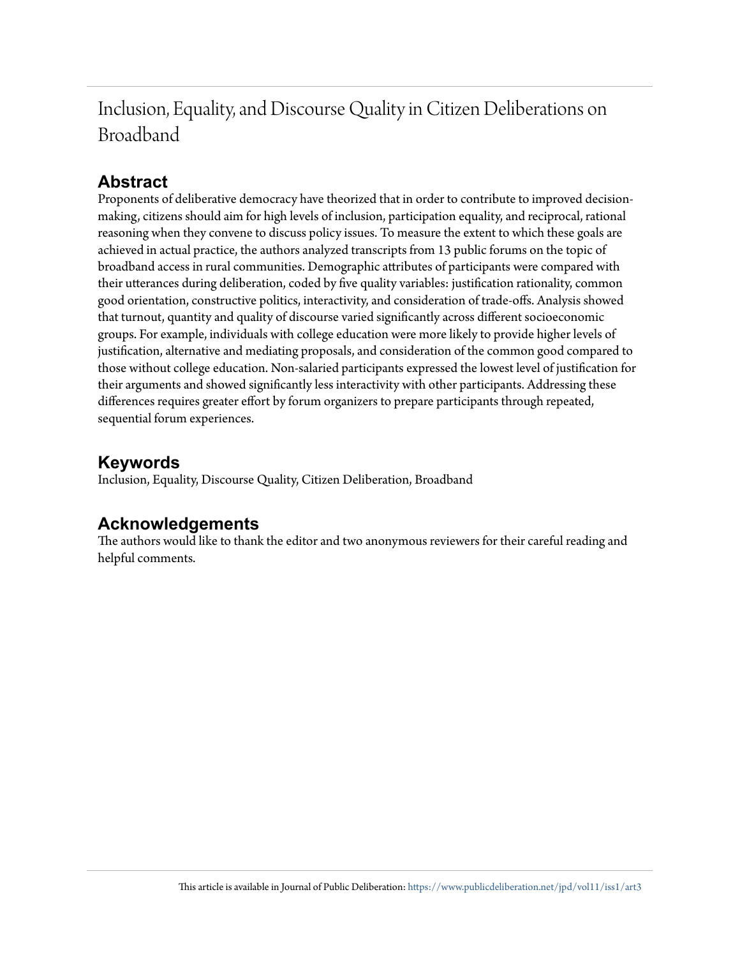Inclusion, Equality, and Discourse Quality in Citizen Deliberations on Broadband

# **Abstract**

Proponents of deliberative democracy have theorized that in order to contribute to improved decisionmaking, citizens should aim for high levels of inclusion, participation equality, and reciprocal, rational reasoning when they convene to discuss policy issues. To measure the extent to which these goals are achieved in actual practice, the authors analyzed transcripts from 13 public forums on the topic of broadband access in rural communities. Demographic attributes of participants were compared with their utterances during deliberation, coded by five quality variables: justification rationality, common good orientation, constructive politics, interactivity, and consideration of trade-offs. Analysis showed that turnout, quantity and quality of discourse varied significantly across different socioeconomic groups. For example, individuals with college education were more likely to provide higher levels of justification, alternative and mediating proposals, and consideration of the common good compared to those without college education. Non-salaried participants expressed the lowest level of justification for their arguments and showed significantly less interactivity with other participants. Addressing these differences requires greater effort by forum organizers to prepare participants through repeated, sequential forum experiences.

# **Keywords**

Inclusion, Equality, Discourse Quality, Citizen Deliberation, Broadband

# **Acknowledgements**

The authors would like to thank the editor and two anonymous reviewers for their careful reading and helpful comments.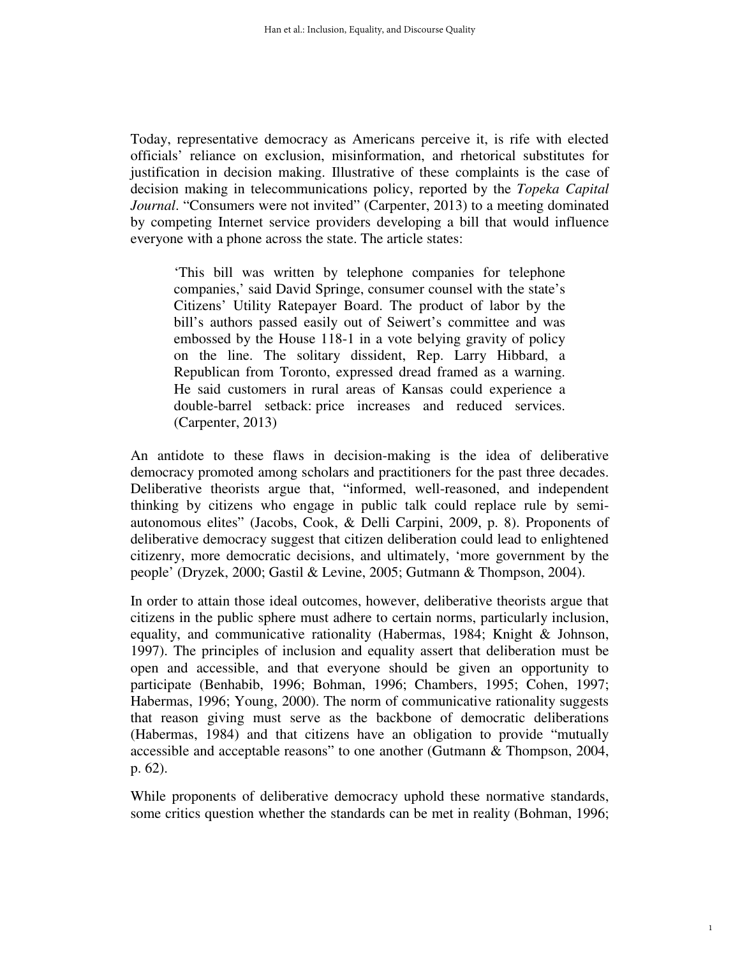Today, representative democracy as Americans perceive it, is rife with elected officials' reliance on exclusion, misinformation, and rhetorical substitutes for justification in decision making. Illustrative of these complaints is the case of decision making in telecommunications policy, reported by the *Topeka Capital Journal*. "Consumers were not invited" (Carpenter, 2013) to a meeting dominated by competing Internet service providers developing a bill that would influence everyone with a phone across the state. The article states:

'This bill was written by telephone companies for telephone companies,' said David Springe, consumer counsel with the state's Citizens' Utility Ratepayer Board. The product of labor by the bill's authors passed easily out of Seiwert's committee and was embossed by the House 118-1 in a vote belying gravity of policy on the line. The solitary dissident, Rep. Larry Hibbard, a Republican from Toronto, expressed dread framed as a warning. He said customers in rural areas of Kansas could experience a double-barrel setback: price increases and reduced services. (Carpenter, 2013)

An antidote to these flaws in decision-making is the idea of deliberative democracy promoted among scholars and practitioners for the past three decades. Deliberative theorists argue that, "informed, well-reasoned, and independent thinking by citizens who engage in public talk could replace rule by semiautonomous elites" (Jacobs, Cook, & Delli Carpini, 2009, p. 8). Proponents of deliberative democracy suggest that citizen deliberation could lead to enlightened citizenry, more democratic decisions, and ultimately, 'more government by the people' (Dryzek, 2000; Gastil & Levine, 2005; Gutmann & Thompson, 2004).

In order to attain those ideal outcomes, however, deliberative theorists argue that citizens in the public sphere must adhere to certain norms, particularly inclusion, equality, and communicative rationality (Habermas, 1984; Knight & Johnson, 1997). The principles of inclusion and equality assert that deliberation must be open and accessible, and that everyone should be given an opportunity to participate (Benhabib, 1996; Bohman, 1996; Chambers, 1995; Cohen, 1997; Habermas, 1996; Young, 2000). The norm of communicative rationality suggests that reason giving must serve as the backbone of democratic deliberations (Habermas, 1984) and that citizens have an obligation to provide "mutually accessible and acceptable reasons" to one another (Gutmann & Thompson, 2004, p. 62).

While proponents of deliberative democracy uphold these normative standards, some critics question whether the standards can be met in reality (Bohman, 1996;

1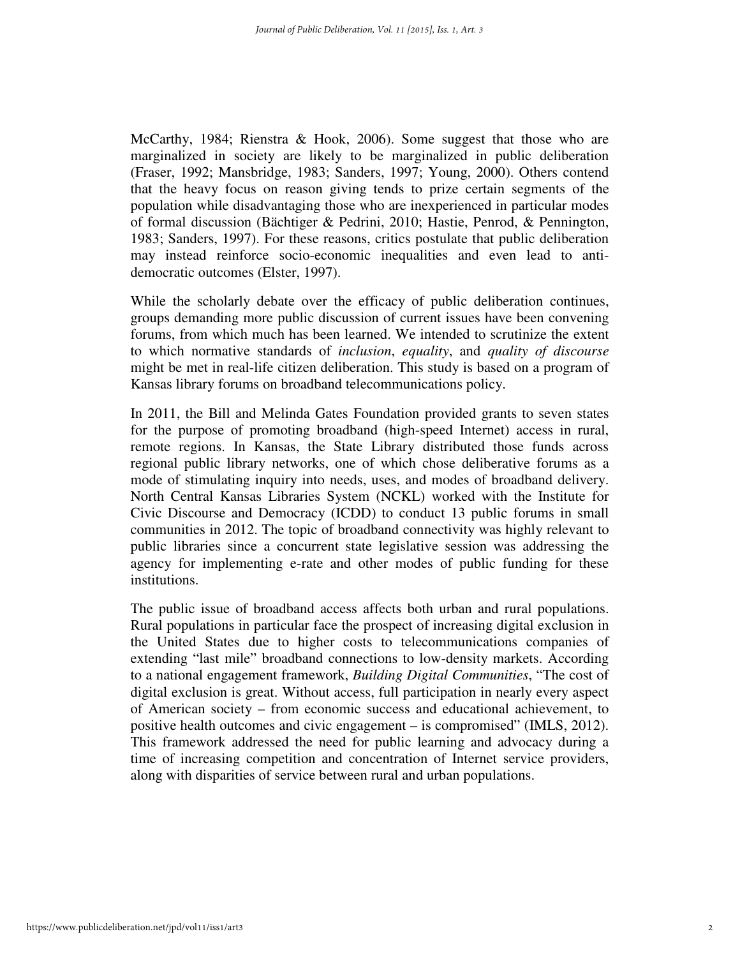McCarthy, 1984; Rienstra & Hook, 2006). Some suggest that those who are marginalized in society are likely to be marginalized in public deliberation (Fraser, 1992; Mansbridge, 1983; Sanders, 1997; Young, 2000). Others contend that the heavy focus on reason giving tends to prize certain segments of the population while disadvantaging those who are inexperienced in particular modes of formal discussion (Bächtiger & Pedrini, 2010; Hastie, Penrod, & Pennington, 1983; Sanders, 1997). For these reasons, critics postulate that public deliberation may instead reinforce socio-economic inequalities and even lead to antidemocratic outcomes (Elster, 1997).

While the scholarly debate over the efficacy of public deliberation continues, groups demanding more public discussion of current issues have been convening forums, from which much has been learned. We intended to scrutinize the extent to which normative standards of *inclusion*, *equality*, and *quality of discourse* might be met in real-life citizen deliberation. This study is based on a program of Kansas library forums on broadband telecommunications policy.

In 2011, the Bill and Melinda Gates Foundation provided grants to seven states for the purpose of promoting broadband (high-speed Internet) access in rural, remote regions. In Kansas, the State Library distributed those funds across regional public library networks, one of which chose deliberative forums as a mode of stimulating inquiry into needs, uses, and modes of broadband delivery. North Central Kansas Libraries System (NCKL) worked with the Institute for Civic Discourse and Democracy (ICDD) to conduct 13 public forums in small communities in 2012. The topic of broadband connectivity was highly relevant to public libraries since a concurrent state legislative session was addressing the agency for implementing e-rate and other modes of public funding for these institutions.

The public issue of broadband access affects both urban and rural populations. Rural populations in particular face the prospect of increasing digital exclusion in the United States due to higher costs to telecommunications companies of extending "last mile" broadband connections to low-density markets. According to a national engagement framework, *Building Digital Communities*, "The cost of digital exclusion is great. Without access, full participation in nearly every aspect of American society – from economic success and educational achievement, to positive health outcomes and civic engagement – is compromised" (IMLS, 2012). This framework addressed the need for public learning and advocacy during a time of increasing competition and concentration of Internet service providers, along with disparities of service between rural and urban populations.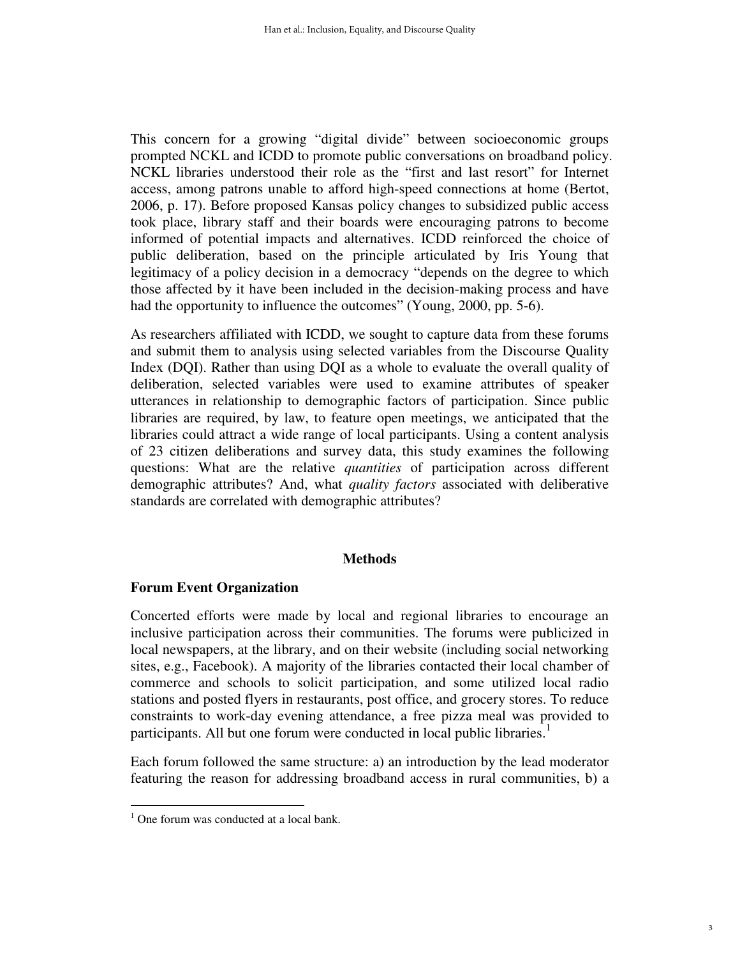This concern for a growing "digital divide" between socioeconomic groups prompted NCKL and ICDD to promote public conversations on broadband policy. NCKL libraries understood their role as the "first and last resort" for Internet access, among patrons unable to afford high-speed connections at home (Bertot, 2006, p. 17). Before proposed Kansas policy changes to subsidized public access took place, library staff and their boards were encouraging patrons to become informed of potential impacts and alternatives. ICDD reinforced the choice of public deliberation, based on the principle articulated by Iris Young that legitimacy of a policy decision in a democracy "depends on the degree to which those affected by it have been included in the decision-making process and have had the opportunity to influence the outcomes" (Young, 2000, pp. 5-6).

As researchers affiliated with ICDD, we sought to capture data from these forums and submit them to analysis using selected variables from the Discourse Quality Index (DQI). Rather than using DQI as a whole to evaluate the overall quality of deliberation, selected variables were used to examine attributes of speaker utterances in relationship to demographic factors of participation. Since public libraries are required, by law, to feature open meetings, we anticipated that the libraries could attract a wide range of local participants. Using a content analysis of 23 citizen deliberations and survey data, this study examines the following questions: What are the relative *quantities* of participation across different demographic attributes? And, what *quality factors* associated with deliberative standards are correlated with demographic attributes?

#### **Methods**

# **Forum Event Organization**

Concerted efforts were made by local and regional libraries to encourage an inclusive participation across their communities. The forums were publicized in local newspapers, at the library, and on their website (including social networking sites, e.g., Facebook). A majority of the libraries contacted their local chamber of commerce and schools to solicit participation, and some utilized local radio stations and posted flyers in restaurants, post office, and grocery stores. To reduce constraints to work-day evening attendance, a free pizza meal was provided to participants. All but one forum were conducted in local public libraries.<sup>1</sup>

Each forum followed the same structure: a) an introduction by the lead moderator featuring the reason for addressing broadband access in rural communities, b) a

 $\overline{a}$ 

<sup>&</sup>lt;sup>1</sup> One forum was conducted at a local bank.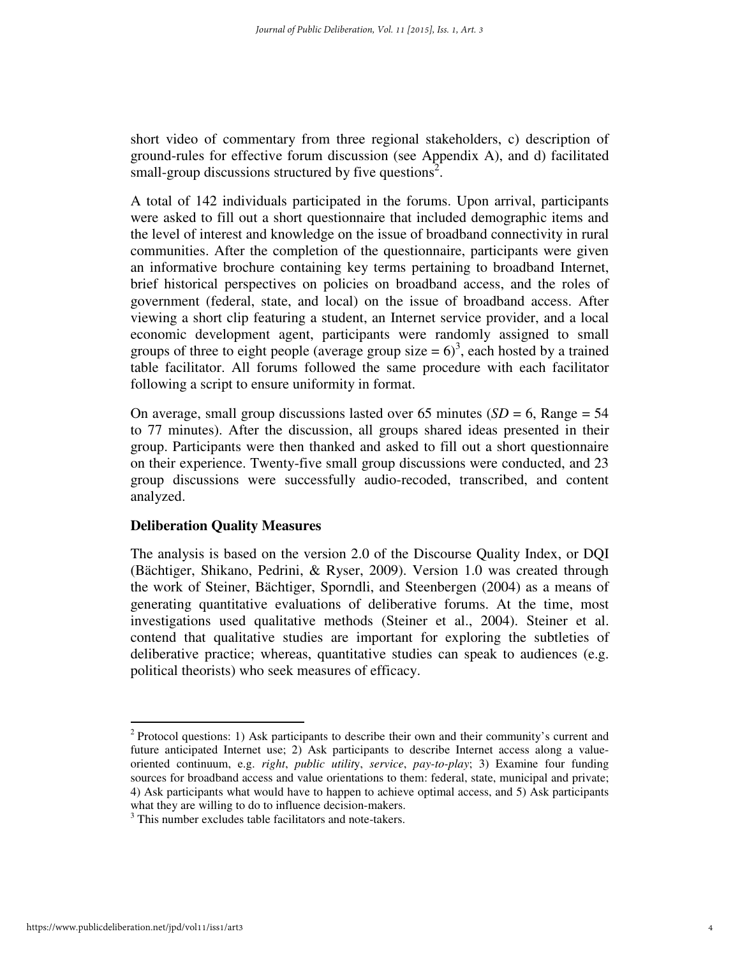short video of commentary from three regional stakeholders, c) description of ground-rules for effective forum discussion (see Appendix A), and d) facilitated small-group discussions structured by five questions<sup>2</sup>.

A total of 142 individuals participated in the forums. Upon arrival, participants were asked to fill out a short questionnaire that included demographic items and the level of interest and knowledge on the issue of broadband connectivity in rural communities. After the completion of the questionnaire, participants were given an informative brochure containing key terms pertaining to broadband Internet, brief historical perspectives on policies on broadband access, and the roles of government (federal, state, and local) on the issue of broadband access. After viewing a short clip featuring a student, an Internet service provider, and a local economic development agent, participants were randomly assigned to small groups of three to eight people (average group size  $= 6$ )<sup>3</sup>, each hosted by a trained table facilitator. All forums followed the same procedure with each facilitator following a script to ensure uniformity in format.

On average, small group discussions lasted over 65 minutes  $(SD = 6, Range = 54)$ to 77 minutes). After the discussion, all groups shared ideas presented in their group. Participants were then thanked and asked to fill out a short questionnaire on their experience. Twenty-five small group discussions were conducted, and 23 group discussions were successfully audio-recoded, transcribed, and content analyzed.

# **Deliberation Quality Measures**

The analysis is based on the version 2.0 of the Discourse Quality Index, or DQI (Bächtiger, Shikano, Pedrini, & Ryser, 2009). Version 1.0 was created through the work of Steiner, Bächtiger, Sporndli, and Steenbergen (2004) as a means of generating quantitative evaluations of deliberative forums. At the time, most investigations used qualitative methods (Steiner et al., 2004). Steiner et al. contend that qualitative studies are important for exploring the subtleties of deliberative practice; whereas, quantitative studies can speak to audiences (e.g. political theorists) who seek measures of efficacy.

 $\overline{a}$ 

 $2$  Protocol questions: 1) Ask participants to describe their own and their community's current and future anticipated Internet use; 2) Ask participants to describe Internet access along a valueoriented continuum, e.g. *right*, *public utilit*y, *service*, *pay-to-play*; 3) Examine four funding sources for broadband access and value orientations to them: federal, state, municipal and private; 4) Ask participants what would have to happen to achieve optimal access, and 5) Ask participants what they are willing to do to influence decision-makers.

<sup>&</sup>lt;sup>3</sup> This number excludes table facilitators and note-takers.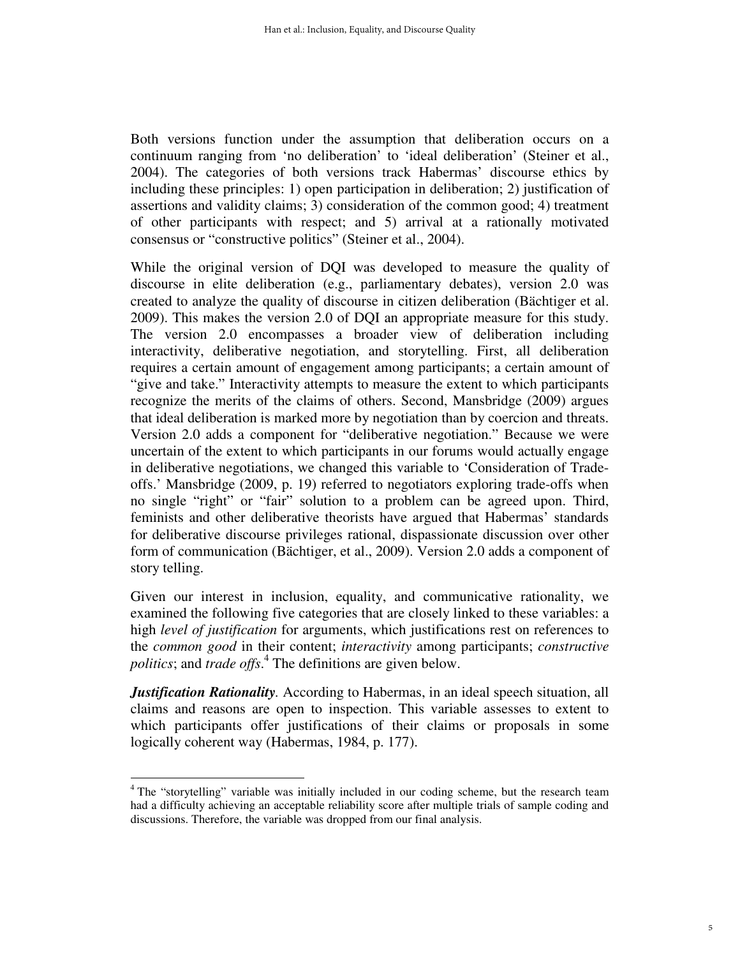Both versions function under the assumption that deliberation occurs on a continuum ranging from 'no deliberation' to 'ideal deliberation' (Steiner et al., 2004). The categories of both versions track Habermas' discourse ethics by including these principles: 1) open participation in deliberation; 2) justification of assertions and validity claims; 3) consideration of the common good; 4) treatment of other participants with respect; and 5) arrival at a rationally motivated consensus or "constructive politics" (Steiner et al., 2004).

While the original version of DQI was developed to measure the quality of discourse in elite deliberation (e.g., parliamentary debates), version 2.0 was created to analyze the quality of discourse in citizen deliberation (Bächtiger et al. 2009). This makes the version 2.0 of DQI an appropriate measure for this study. The version 2.0 encompasses a broader view of deliberation including interactivity, deliberative negotiation, and storytelling. First, all deliberation requires a certain amount of engagement among participants; a certain amount of "give and take." Interactivity attempts to measure the extent to which participants recognize the merits of the claims of others. Second, Mansbridge (2009) argues that ideal deliberation is marked more by negotiation than by coercion and threats. Version 2.0 adds a component for "deliberative negotiation." Because we were uncertain of the extent to which participants in our forums would actually engage in deliberative negotiations, we changed this variable to 'Consideration of Tradeoffs.' Mansbridge (2009, p. 19) referred to negotiators exploring trade-offs when no single "right" or "fair" solution to a problem can be agreed upon. Third, feminists and other deliberative theorists have argued that Habermas' standards for deliberative discourse privileges rational, dispassionate discussion over other form of communication (Bächtiger, et al., 2009). Version 2.0 adds a component of story telling.

Given our interest in inclusion, equality, and communicative rationality, we examined the following five categories that are closely linked to these variables: a high *level of justification* for arguments, which justifications rest on references to the *common good* in their content; *interactivity* among participants; *constructive politics*; and *trade offs*. 4 The definitions are given below.

*Justification Rationality*. According to Habermas, in an ideal speech situation, all claims and reasons are open to inspection. This variable assesses to extent to which participants offer justifications of their claims or proposals in some logically coherent way (Habermas, 1984, p. 177).

 $\overline{a}$ <sup>4</sup> The "storytelling" variable was initially included in our coding scheme, but the research team had a difficulty achieving an acceptable reliability score after multiple trials of sample coding and discussions. Therefore, the variable was dropped from our final analysis.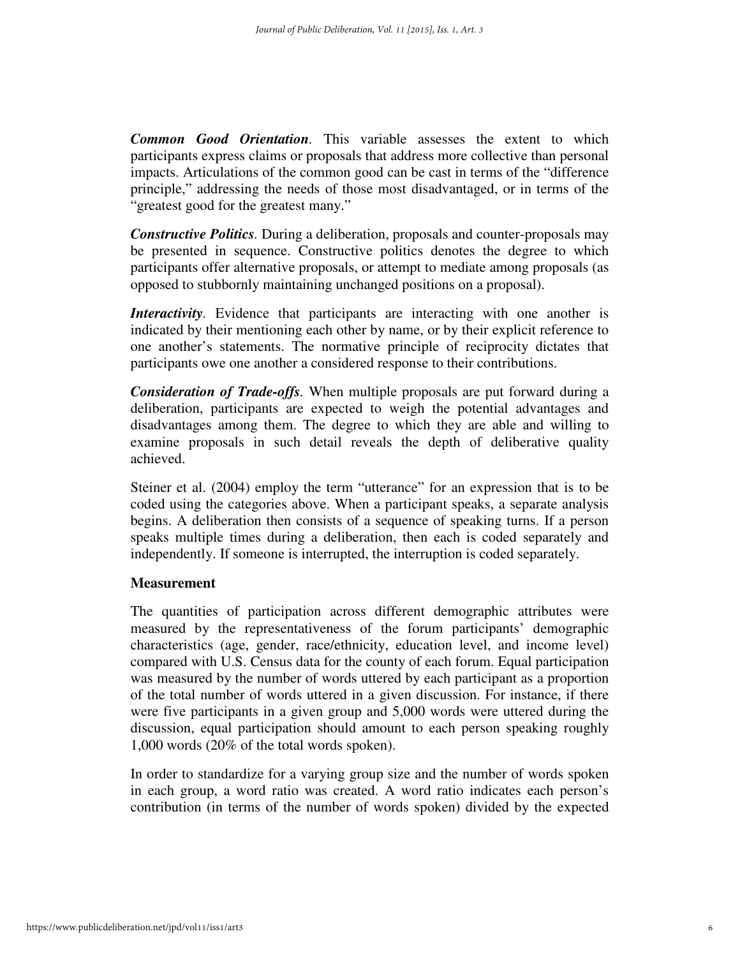*Common Good Orientation.* This variable assesses the extent to which participants express claims or proposals that address more collective than personal impacts. Articulations of the common good can be cast in terms of the "difference principle," addressing the needs of those most disadvantaged, or in terms of the "greatest good for the greatest many."

*Constructive Politics.* During a deliberation, proposals and counter-proposals may be presented in sequence. Constructive politics denotes the degree to which participants offer alternative proposals, or attempt to mediate among proposals (as opposed to stubbornly maintaining unchanged positions on a proposal).

*Interactivity*. Evidence that participants are interacting with one another is indicated by their mentioning each other by name, or by their explicit reference to one another's statements. The normative principle of reciprocity dictates that participants owe one another a considered response to their contributions.

*Consideration of Trade-offs.* When multiple proposals are put forward during a deliberation, participants are expected to weigh the potential advantages and disadvantages among them. The degree to which they are able and willing to examine proposals in such detail reveals the depth of deliberative quality achieved.

Steiner et al. (2004) employ the term "utterance" for an expression that is to be coded using the categories above. When a participant speaks, a separate analysis begins. A deliberation then consists of a sequence of speaking turns. If a person speaks multiple times during a deliberation, then each is coded separately and independently. If someone is interrupted, the interruption is coded separately.

# **Measurement**

The quantities of participation across different demographic attributes were measured by the representativeness of the forum participants' demographic characteristics (age, gender, race/ethnicity, education level, and income level) compared with U.S. Census data for the county of each forum. Equal participation was measured by the number of words uttered by each participant as a proportion of the total number of words uttered in a given discussion. For instance, if there were five participants in a given group and 5,000 words were uttered during the discussion, equal participation should amount to each person speaking roughly 1,000 words (20% of the total words spoken).

In order to standardize for a varying group size and the number of words spoken in each group, a word ratio was created. A word ratio indicates each person's contribution (in terms of the number of words spoken) divided by the expected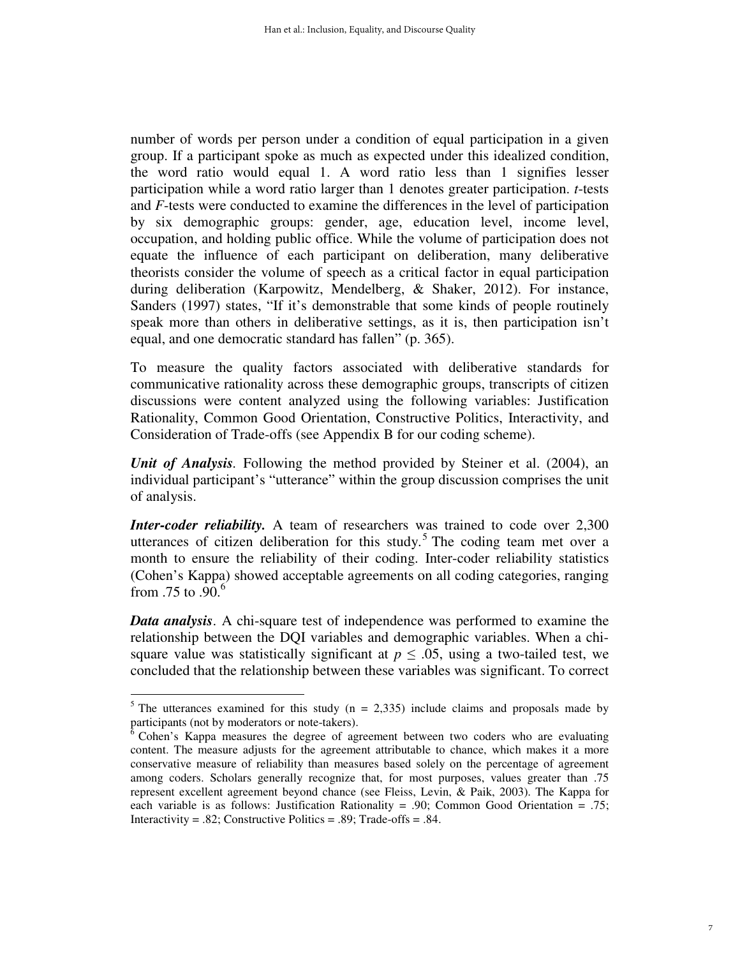number of words per person under a condition of equal participation in a given group. If a participant spoke as much as expected under this idealized condition, the word ratio would equal 1. A word ratio less than 1 signifies lesser participation while a word ratio larger than 1 denotes greater participation. *t*-tests and *F*-tests were conducted to examine the differences in the level of participation by six demographic groups: gender, age, education level, income level, occupation, and holding public office. While the volume of participation does not equate the influence of each participant on deliberation, many deliberative theorists consider the volume of speech as a critical factor in equal participation during deliberation (Karpowitz, Mendelberg, & Shaker, 2012). For instance, Sanders (1997) states, "If it's demonstrable that some kinds of people routinely speak more than others in deliberative settings, as it is, then participation isn't equal, and one democratic standard has fallen" (p. 365).

To measure the quality factors associated with deliberative standards for communicative rationality across these demographic groups, transcripts of citizen discussions were content analyzed using the following variables: Justification Rationality, Common Good Orientation, Constructive Politics, Interactivity, and Consideration of Trade-offs (see Appendix B for our coding scheme).

*Unit of Analysis.* Following the method provided by Steiner et al. (2004), an individual participant's "utterance" within the group discussion comprises the unit of analysis.

*Inter-coder reliability.* A team of researchers was trained to code over 2,300 utterances of citizen deliberation for this study.<sup>5</sup> The coding team met over a month to ensure the reliability of their coding. Inter-coder reliability statistics (Cohen's Kappa) showed acceptable agreements on all coding categories, ranging from  $.75$  to  $.90<sup>6</sup>$ 

*Data analysis*. A chi-square test of independence was performed to examine the relationship between the DQI variables and demographic variables. When a chisquare value was statistically significant at  $p \leq 0.05$ , using a two-tailed test, we concluded that the relationship between these variables was significant. To correct

 $\frac{5}{10}$  The utterances examined for this study (n = 2,335) include claims and proposals made by participants (not by moderators or note-takers).

 $6$  Cohen's Kappa measures the degree of agreement between two coders who are evaluating content. The measure adjusts for the agreement attributable to chance, which makes it a more conservative measure of reliability than measures based solely on the percentage of agreement among coders. Scholars generally recognize that, for most purposes, values greater than .75 represent excellent agreement beyond chance (see Fleiss, Levin, & Paik, 2003). The Kappa for each variable is as follows: Justification Rationality = .90; Common Good Orientation = .75; Interactivity = .82; Constructive Politics = .89; Trade-offs = .84.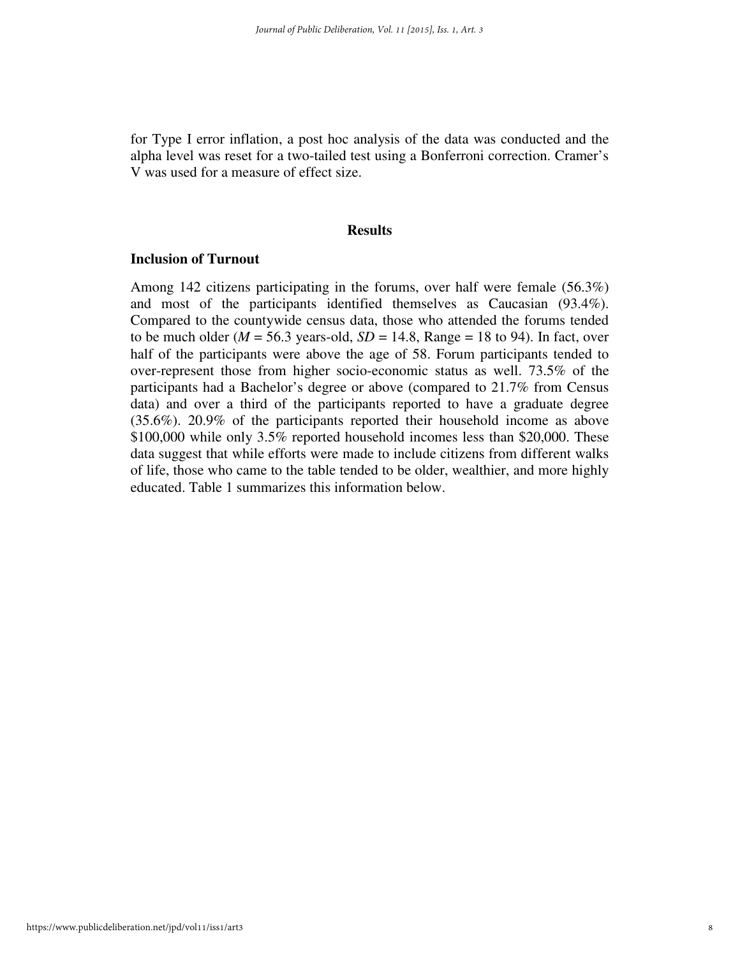for Type I error inflation, a post hoc analysis of the data was conducted and the alpha level was reset for a two-tailed test using a Bonferroni correction. Cramer's V was used for a measure of effect size.

#### **Results**

#### **Inclusion of Turnout**

Among 142 citizens participating in the forums, over half were female (56.3%) and most of the participants identified themselves as Caucasian (93.4%). Compared to the countywide census data, those who attended the forums tended to be much older ( $M = 56.3$  years-old,  $SD = 14.8$ , Range = 18 to 94). In fact, over half of the participants were above the age of 58. Forum participants tended to over-represent those from higher socio-economic status as well. 73.5% of the participants had a Bachelor's degree or above (compared to 21.7% from Census data) and over a third of the participants reported to have a graduate degree (35.6%). 20.9% of the participants reported their household income as above \$100,000 while only 3.5% reported household incomes less than \$20,000. These data suggest that while efforts were made to include citizens from different walks of life, those who came to the table tended to be older, wealthier, and more highly educated. Table 1 summarizes this information below.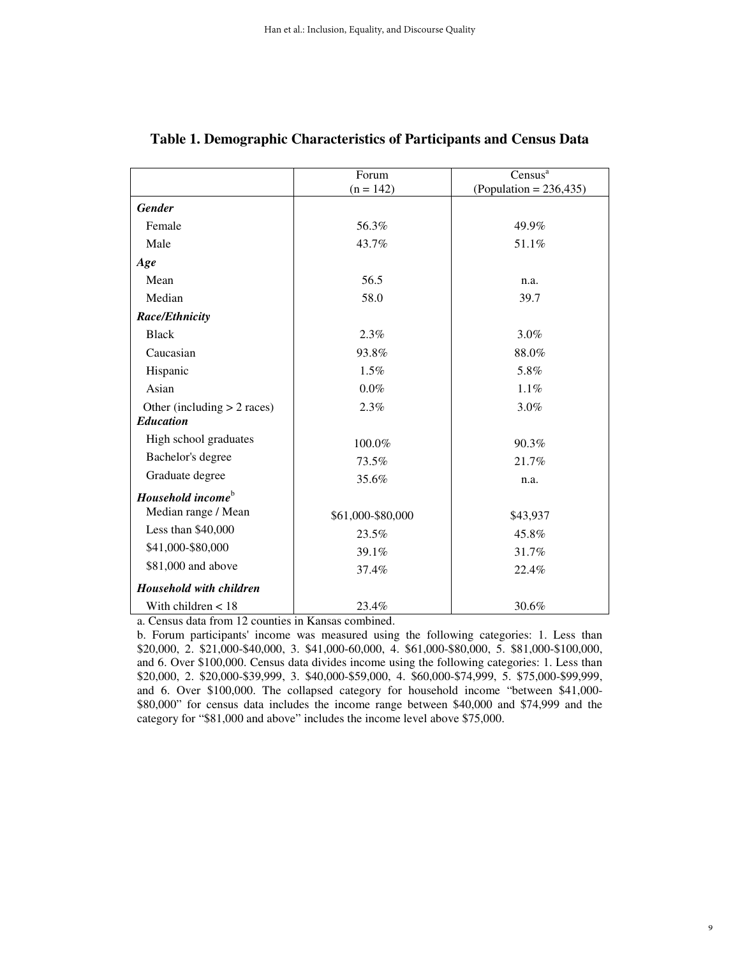|                                | Forum             | Census <sup>a</sup>      |  |
|--------------------------------|-------------------|--------------------------|--|
|                                | $(n = 142)$       | $(Population = 236,435)$ |  |
| <b>Gender</b>                  |                   |                          |  |
| Female                         | 56.3%             | 49.9%                    |  |
| Male                           | 43.7%             | 51.1%                    |  |
| Age                            |                   |                          |  |
| Mean                           | 56.5              | n.a.                     |  |
| Median                         | 58.0              | 39.7                     |  |
| <b>Race/Ethnicity</b>          |                   |                          |  |
| <b>Black</b>                   | 2.3%              | $3.0\%$                  |  |
| Caucasian                      | 93.8%             | 88.0%                    |  |
| Hispanic                       | 1.5%              | 5.8%                     |  |
| Asian                          | $0.0\%$           | $1.1\%$                  |  |
| Other (including $> 2$ races)  | 2.3%              | 3.0%                     |  |
| <b>Education</b>               |                   |                          |  |
| High school graduates          | 100.0%            | 90.3%                    |  |
| Bachelor's degree              | 73.5%             | 21.7%                    |  |
| Graduate degree                | 35.6%             | n.a.                     |  |
| Household income $^{\rm b}$    |                   |                          |  |
| Median range / Mean            | \$61,000-\$80,000 | \$43,937                 |  |
| Less than \$40,000             | 23.5%             | 45.8%                    |  |
| \$41,000-\$80,000              | 39.1%             | 31.7%                    |  |
| \$81,000 and above             | 37.4%             | 22.4%                    |  |
| <b>Household with children</b> |                   |                          |  |
| With children $< 18$           | 23.4%             | 30.6%                    |  |

# **Table 1. Demographic Characteristics of Participants and Census Data**

a. Census data from 12 counties in Kansas combined.

b. Forum participants' income was measured using the following categories: 1. Less than \$20,000, 2. \$21,000-\$40,000, 3. \$41,000-60,000, 4. \$61,000-\$80,000, 5. \$81,000-\$100,000, and 6. Over \$100,000. Census data divides income using the following categories: 1. Less than \$20,000, 2. \$20,000-\$39,999, 3. \$40,000-\$59,000, 4. \$60,000-\$74,999, 5. \$75,000-\$99,999, and 6. Over \$100,000. The collapsed category for household income "between \$41,000- \$80,000" for census data includes the income range between \$40,000 and \$74,999 and the category for "\$81,000 and above" includes the income level above \$75,000.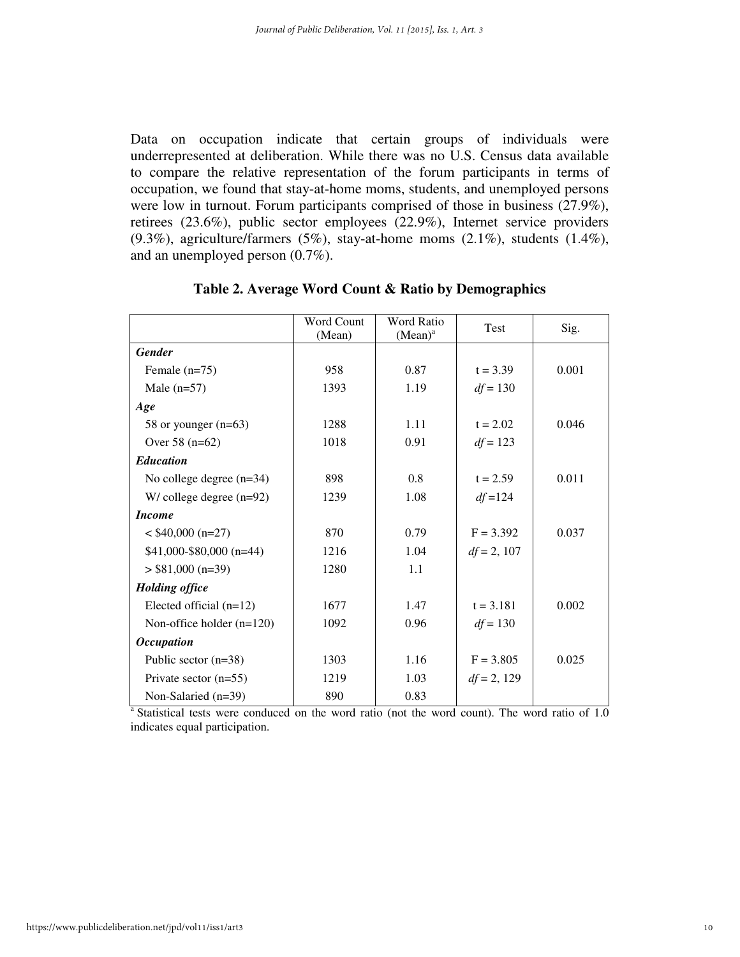Data on occupation indicate that certain groups of individuals were underrepresented at deliberation. While there was no U.S. Census data available to compare the relative representation of the forum participants in terms of occupation, we found that stay-at-home moms, students, and unemployed persons were low in turnout. Forum participants comprised of those in business (27.9%), retirees (23.6%), public sector employees (22.9%), Internet service providers (9.3%), agriculture/farmers (5%), stay-at-home moms (2.1%), students (1.4%), and an unemployed person (0.7%).

|                             | Word Count<br>(Mean) | <b>Word Ratio</b><br>$(Mean)^a$ | <b>Test</b>   | Sig.  |
|-----------------------------|----------------------|---------------------------------|---------------|-------|
| <b>Gender</b>               |                      |                                 |               |       |
| Female $(n=75)$             | 958                  | 0.87                            | $t = 3.39$    | 0.001 |
| Male $(n=57)$               | 1393                 | 1.19                            | $df = 130$    |       |
| Age                         |                      |                                 |               |       |
| 58 or younger $(n=63)$      | 1288                 | 1.11                            | $t = 2.02$    | 0.046 |
| Over $58$ (n= $62$ )        | 1018                 | 0.91                            | $df = 123$    |       |
| <b>Education</b>            |                      |                                 |               |       |
| No college degree $(n=34)$  | 898                  | 0.8                             | $t = 2.59$    | 0.011 |
| $W/$ college degree (n=92)  | 1239                 | 1.08                            | $df = 124$    |       |
| <b>Income</b>               |                      |                                 |               |       |
| $<$ \$40,000 (n=27)         | 870                  | 0.79                            | $F = 3.392$   | 0.037 |
| $$41,000-S80,000$ (n=44)    | 1216                 | 1.04                            | $df = 2, 107$ |       |
| $>$ \$81,000 (n=39)         | 1280                 | 1.1                             |               |       |
| <b>Holding office</b>       |                      |                                 |               |       |
| Elected official $(n=12)$   | 1677                 | 1.47                            | $t = 3.181$   | 0.002 |
| Non-office holder $(n=120)$ | 1092                 | 0.96                            | $df = 130$    |       |
| <b>Occupation</b>           |                      |                                 |               |       |
| Public sector $(n=38)$      | 1303                 | 1.16                            | $F = 3.805$   | 0.025 |
| Private sector $(n=55)$     | 1219                 | 1.03                            | $df = 2, 129$ |       |
| Non-Salaried (n=39)         | 890                  | 0.83                            |               |       |

**Table 2. Average Word Count & Ratio by Demographics** 

<sup>a</sup> Statistical tests were conduced on the word ratio (not the word count). The word ratio of 1.0 indicates equal participation.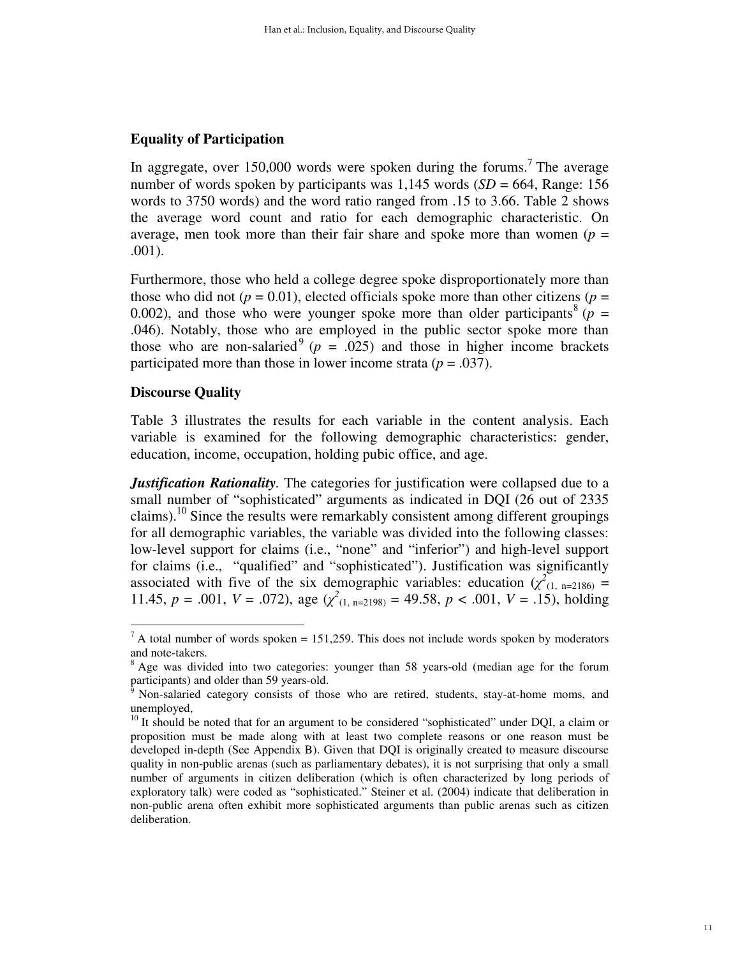## **Equality of Participation**

In aggregate, over 150,000 words were spoken during the forums.<sup>7</sup> The average number of words spoken by participants was  $1,145$  words  $(SD = 664,$  Range: 156 words to 3750 words) and the word ratio ranged from .15 to 3.66. Table 2 shows the average word count and ratio for each demographic characteristic. On average, men took more than their fair share and spoke more than women ( $p =$ .001).

Furthermore, those who held a college degree spoke disproportionately more than those who did not ( $p = 0.01$ ), elected officials spoke more than other citizens ( $p =$ 0.002), and those who were younger spoke more than older participants<sup>8</sup>  $(p =$ .046). Notably, those who are employed in the public sector spoke more than those who are non-salaried<sup>9</sup> ( $p = .025$ ) and those in higher income brackets participated more than those in lower income strata  $(p = .037)$ .

## **Discourse Quality**

Table 3 illustrates the results for each variable in the content analysis. Each variable is examined for the following demographic characteristics: gender, education, income, occupation, holding pubic office, and age.

*Justification Rationality.* The categories for justification were collapsed due to a small number of "sophisticated" arguments as indicated in DQI (26 out of 2335) claims).<sup>10</sup> Since the results were remarkably consistent among different groupings for all demographic variables, the variable was divided into the following classes: low-level support for claims (i.e., "none" and "inferior") and high-level support for claims (i.e., "qualified" and "sophisticated"). Justification was significantly associated with five of the six demographic variables: education  $(\chi^2)_{(1, n=2186)}$  = 11.45,  $p = .001$ ,  $V = .072$ ), age  $(\chi^2_{(1, n=2198)} = 49.58, p < .001, V = .15)$ , holding

 $\overline{a}$  A total number of words spoken = 151,259. This does not include words spoken by moderators and note-takers.

<sup>&</sup>lt;sup>8</sup> Age was divided into two categories: younger than 58 years-old (median age for the forum participants) and older than 59 years-old.

<sup>&</sup>lt;sup>9</sup> Non-salaried category consists of those who are retired, students, stay-at-home moms, and unemployed,

 $10$  It should be noted that for an argument to be considered "sophisticated" under DQI, a claim or proposition must be made along with at least two complete reasons or one reason must be developed in-depth (See Appendix B). Given that DQI is originally created to measure discourse quality in non-public arenas (such as parliamentary debates), it is not surprising that only a small number of arguments in citizen deliberation (which is often characterized by long periods of exploratory talk) were coded as "sophisticated." Steiner et al. (2004) indicate that deliberation in non-public arena often exhibit more sophisticated arguments than public arenas such as citizen deliberation.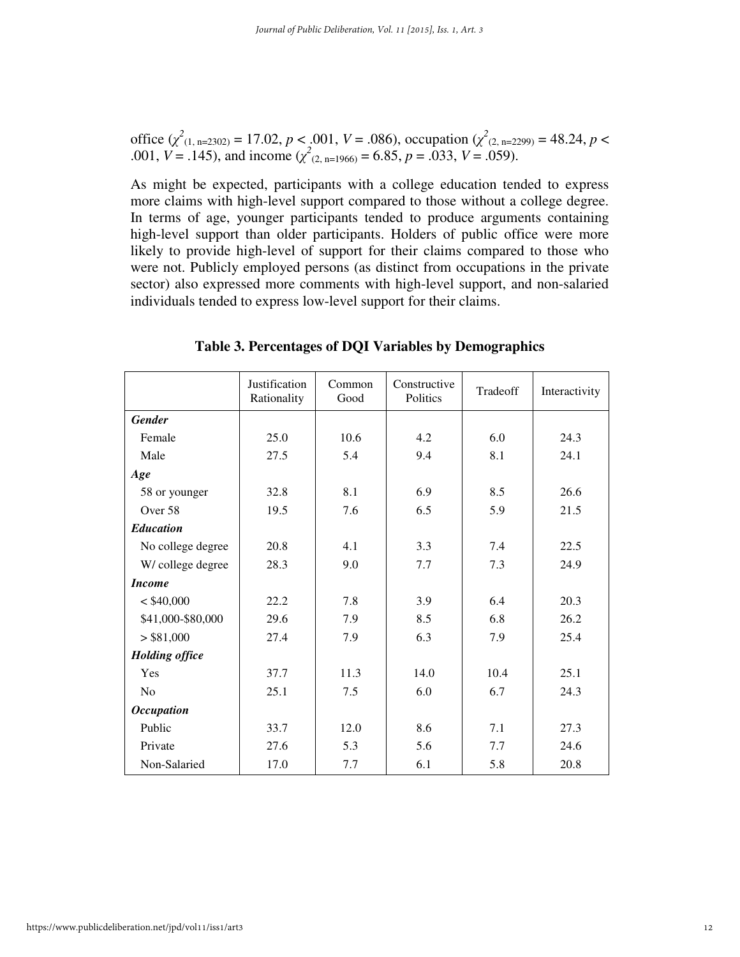office  $(\chi^2_{(1, n=2302)} = 17.02, p < .001, V = .086)$ , occupation  $(\chi^2_{(2, n=2299)} = 48.24, p < .001, V = .086)$ .001,  $V = .145$ ), and income ( $\chi^2$ <sub>(2, n=1966)</sub> = 6.85,  $p = .033$ ,  $V = .059$ ).

As might be expected, participants with a college education tended to express more claims with high-level support compared to those without a college degree. In terms of age, younger participants tended to produce arguments containing high-level support than older participants. Holders of public office were more likely to provide high-level of support for their claims compared to those who were not. Publicly employed persons (as distinct from occupations in the private sector) also expressed more comments with high-level support, and non-salaried individuals tended to express low-level support for their claims.

|                       | Justification<br>Rationality | Common<br>Good | Constructive<br>Politics | Tradeoff | Interactivity |
|-----------------------|------------------------------|----------------|--------------------------|----------|---------------|
| <b>Gender</b>         |                              |                |                          |          |               |
| Female                | 25.0                         | 10.6           | 4.2                      | 6.0      | 24.3          |
| Male                  | 27.5                         | 5.4            | 9.4                      | 8.1      | 24.1          |
| Age                   |                              |                |                          |          |               |
| 58 or younger         | 32.8                         | 8.1            | 6.9                      | 8.5      | 26.6          |
| Over 58               | 19.5                         | 7.6            | 6.5                      | 5.9      | 21.5          |
| <b>Education</b>      |                              |                |                          |          |               |
| No college degree     | 20.8                         | 4.1            | 3.3                      | 7.4      | 22.5          |
| W/college degree      | 28.3                         | 9.0            | 7.7                      | 7.3      | 24.9          |
| <b>Income</b>         |                              |                |                          |          |               |
| $<$ \$40,000          | 22.2                         | 7.8            | 3.9                      | 6.4      | 20.3          |
| \$41,000-\$80,000     | 29.6                         | 7.9            | 8.5                      | 6.8      | 26.2          |
| > \$81,000            | 27.4                         | 7.9            | 6.3                      | 7.9      | 25.4          |
| <b>Holding office</b> |                              |                |                          |          |               |
| Yes                   | 37.7                         | 11.3           | 14.0                     | 10.4     | 25.1          |
| N <sub>0</sub>        | 25.1                         | 7.5            | 6.0                      | 6.7      | 24.3          |
| <b>Occupation</b>     |                              |                |                          |          |               |
| Public                | 33.7                         | 12.0           | 8.6                      | 7.1      | 27.3          |
| Private               | 27.6                         | 5.3            | 5.6                      | 7.7      | 24.6          |
| Non-Salaried          | 17.0                         | 7.7            | 6.1                      | 5.8      | 20.8          |

**Table 3. Percentages of DQI Variables by Demographics**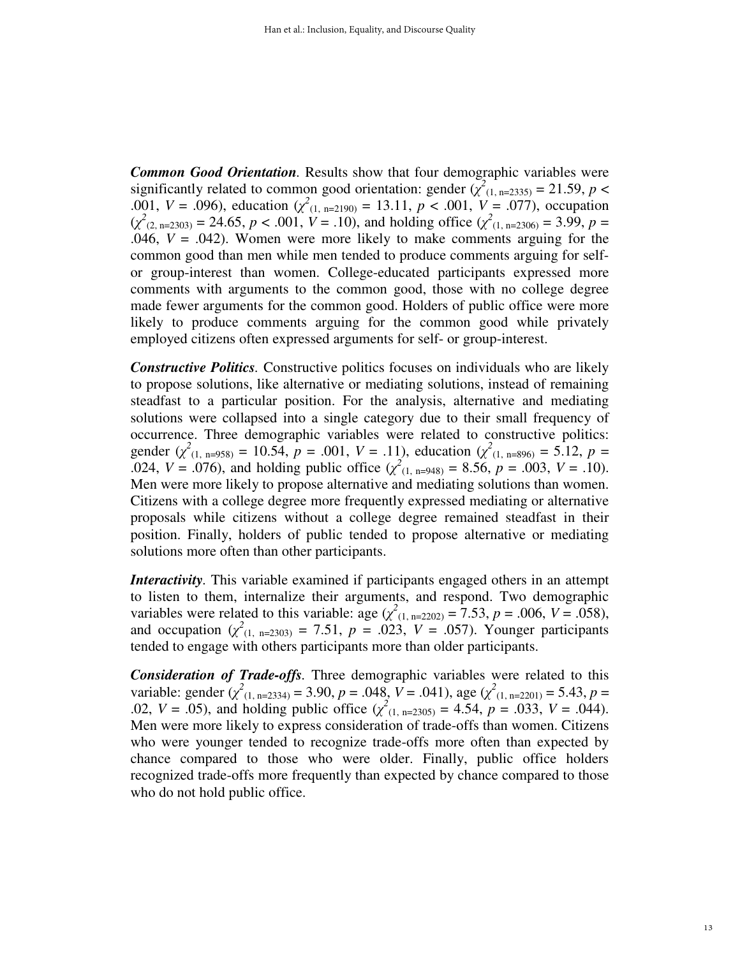*Common Good Orientation.* Results show that four demographic variables were significantly related to common good orientation: gender  $(\chi^2_{(1, n=2335)} = 21.59, p <$ .001,  $V = .096$ ), education  $(\chi^2_{(1, n=2190)} = 13.11, p < .001, V = .077)$ , occupation  $(\chi^2_{(2, n=2303)} = 24.65, p < .001, V = .10)$ , and holding office  $(\chi^2_{(1, n=2306)} = 3.99, p = .001)$ .046,  $V = .042$ ). Women were more likely to make comments arguing for the common good than men while men tended to produce comments arguing for selfor group-interest than women. College-educated participants expressed more comments with arguments to the common good, those with no college degree made fewer arguments for the common good. Holders of public office were more likely to produce comments arguing for the common good while privately employed citizens often expressed arguments for self- or group-interest.

*Constructive Politics.* Constructive politics focuses on individuals who are likely to propose solutions, like alternative or mediating solutions, instead of remaining steadfast to a particular position. For the analysis, alternative and mediating solutions were collapsed into a single category due to their small frequency of occurrence. Three demographic variables were related to constructive politics: gender  $(\chi^2_{(1, n=958)} = 10.54, p = .001, V = .11)$ , education  $(\chi^2_{(1, n=896)} = 5.12, p = .001, V = .11)$ .024,  $V = .076$ ), and holding public office  $(\chi^2_{(1, n=948)} = 8.56, p = .003, V = .10)$ . Men were more likely to propose alternative and mediating solutions than women. Citizens with a college degree more frequently expressed mediating or alternative proposals while citizens without a college degree remained steadfast in their position. Finally, holders of public tended to propose alternative or mediating solutions more often than other participants.

*Interactivity.* This variable examined if participants engaged others in an attempt to listen to them, internalize their arguments, and respond. Two demographic variables were related to this variable: age  $(\chi^2_{(1, n=2202)} = 7.53, p = .006, V = .058)$ , and occupation  $(\chi^2_{(1, n=2303)} = 7.51, p = .023, V = .057)$ . Younger participants tended to engage with others participants more than older participants.

*Consideration of Trade-offs.* Three demographic variables were related to this variable: gender  $(\chi^2_{(1, n=2334)} = 3.90, p = .048, V = .041)$ , age  $(\chi^2_{(1, n=2201)} = 5.43, p =$ .02,  $V = .05$ ), and holding public office  $(\chi^2_{(1, n=2305)} = 4.54, p = .033, V = .044)$ . Men were more likely to express consideration of trade-offs than women. Citizens who were younger tended to recognize trade-offs more often than expected by chance compared to those who were older. Finally, public office holders recognized trade-offs more frequently than expected by chance compared to those who do not hold public office.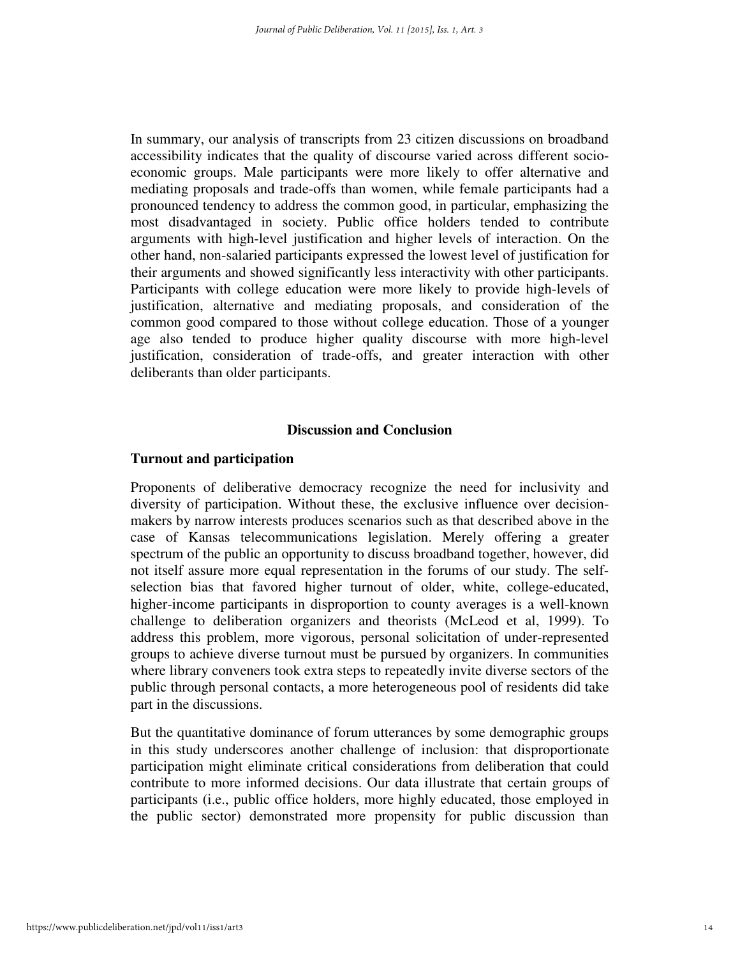In summary, our analysis of transcripts from 23 citizen discussions on broadband accessibility indicates that the quality of discourse varied across different socioeconomic groups. Male participants were more likely to offer alternative and mediating proposals and trade-offs than women, while female participants had a pronounced tendency to address the common good, in particular, emphasizing the most disadvantaged in society. Public office holders tended to contribute arguments with high-level justification and higher levels of interaction. On the other hand, non-salaried participants expressed the lowest level of justification for their arguments and showed significantly less interactivity with other participants. Participants with college education were more likely to provide high-levels of justification, alternative and mediating proposals, and consideration of the common good compared to those without college education. Those of a younger age also tended to produce higher quality discourse with more high-level justification, consideration of trade-offs, and greater interaction with other deliberants than older participants.

#### **Discussion and Conclusion**

## **Turnout and participation**

Proponents of deliberative democracy recognize the need for inclusivity and diversity of participation. Without these, the exclusive influence over decisionmakers by narrow interests produces scenarios such as that described above in the case of Kansas telecommunications legislation. Merely offering a greater spectrum of the public an opportunity to discuss broadband together, however, did not itself assure more equal representation in the forums of our study. The selfselection bias that favored higher turnout of older, white, college-educated, higher-income participants in disproportion to county averages is a well-known challenge to deliberation organizers and theorists (McLeod et al, 1999). To address this problem, more vigorous, personal solicitation of under-represented groups to achieve diverse turnout must be pursued by organizers. In communities where library conveners took extra steps to repeatedly invite diverse sectors of the public through personal contacts, a more heterogeneous pool of residents did take part in the discussions.

But the quantitative dominance of forum utterances by some demographic groups in this study underscores another challenge of inclusion: that disproportionate participation might eliminate critical considerations from deliberation that could contribute to more informed decisions. Our data illustrate that certain groups of participants (i.e., public office holders, more highly educated, those employed in the public sector) demonstrated more propensity for public discussion than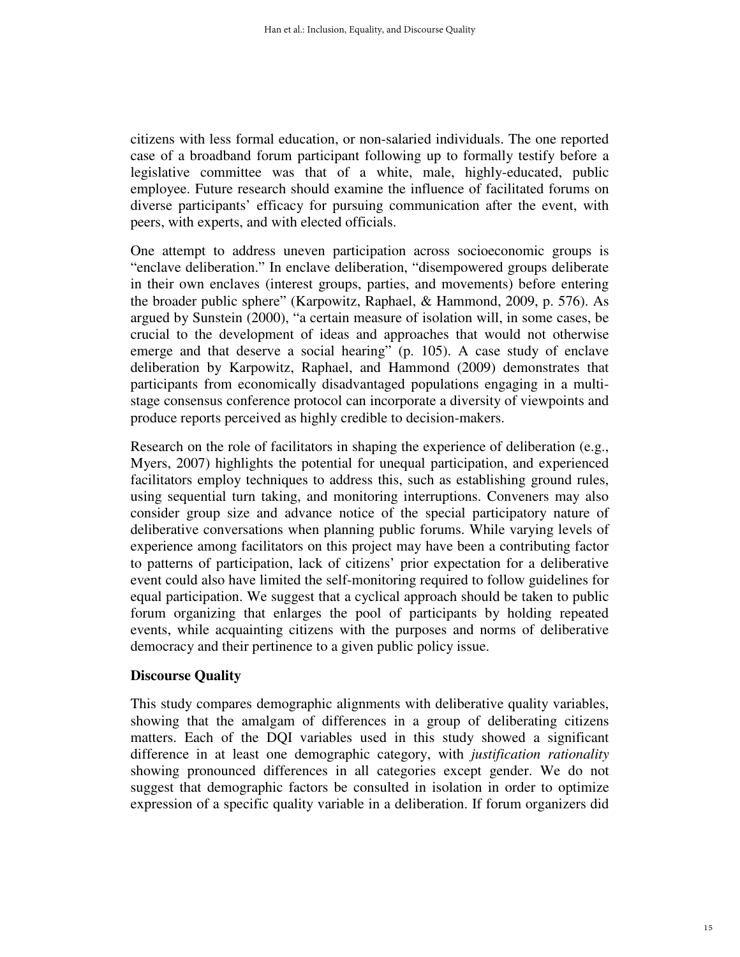citizens with less formal education, or non-salaried individuals. The one reported case of a broadband forum participant following up to formally testify before a legislative committee was that of a white, male, highly-educated, public employee. Future research should examine the influence of facilitated forums on diverse participants' efficacy for pursuing communication after the event, with peers, with experts, and with elected officials.

One attempt to address uneven participation across socioeconomic groups is "enclave deliberation." In enclave deliberation, "disempowered groups deliberate in their own enclaves (interest groups, parties, and movements) before entering the broader public sphere" (Karpowitz, Raphael, & Hammond, 2009, p. 576). As argued by Sunstein (2000), "a certain measure of isolation will, in some cases, be crucial to the development of ideas and approaches that would not otherwise emerge and that deserve a social hearing" (p. 105). A case study of enclave deliberation by Karpowitz, Raphael, and Hammond (2009) demonstrates that participants from economically disadvantaged populations engaging in a multistage consensus conference protocol can incorporate a diversity of viewpoints and produce reports perceived as highly credible to decision-makers.

Research on the role of facilitators in shaping the experience of deliberation (e.g., Myers, 2007) highlights the potential for unequal participation, and experienced facilitators employ techniques to address this, such as establishing ground rules, using sequential turn taking, and monitoring interruptions. Conveners may also consider group size and advance notice of the special participatory nature of deliberative conversations when planning public forums. While varying levels of experience among facilitators on this project may have been a contributing factor to patterns of participation, lack of citizens' prior expectation for a deliberative event could also have limited the self-monitoring required to follow guidelines for equal participation. We suggest that a cyclical approach should be taken to public forum organizing that enlarges the pool of participants by holding repeated events, while acquainting citizens with the purposes and norms of deliberative democracy and their pertinence to a given public policy issue.

# **Discourse Quality**

This study compares demographic alignments with deliberative quality variables, showing that the amalgam of differences in a group of deliberating citizens matters. Each of the DQI variables used in this study showed a significant difference in at least one demographic category, with *justification rationality* showing pronounced differences in all categories except gender. We do not suggest that demographic factors be consulted in isolation in order to optimize expression of a specific quality variable in a deliberation. If forum organizers did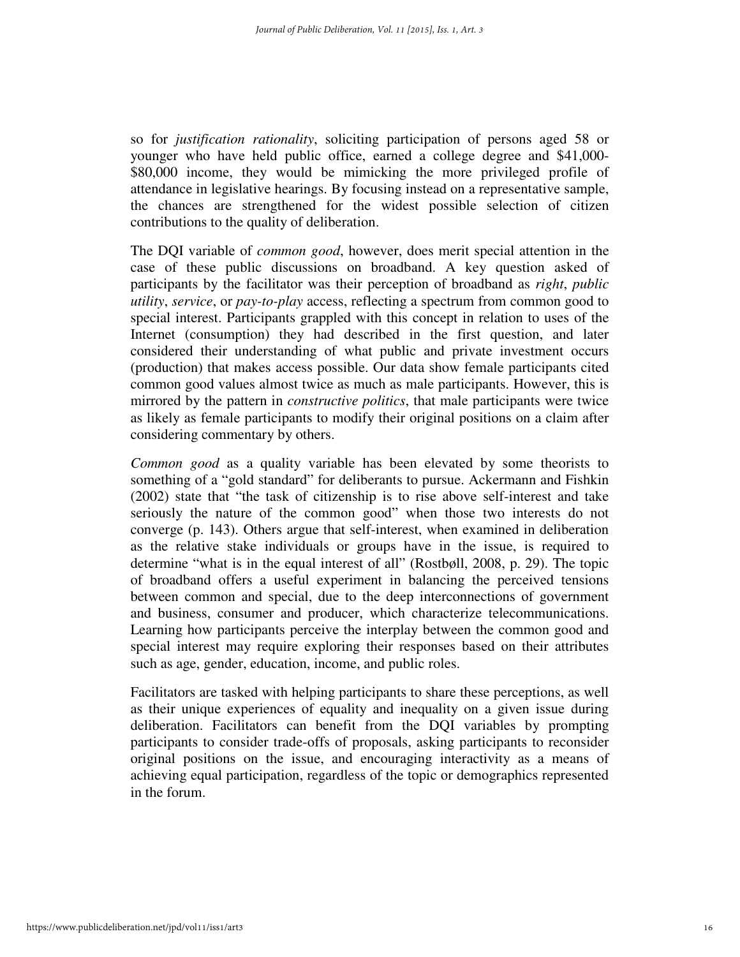so for *justification rationality*, soliciting participation of persons aged 58 or younger who have held public office, earned a college degree and \$41,000- \$80,000 income, they would be mimicking the more privileged profile of attendance in legislative hearings. By focusing instead on a representative sample, the chances are strengthened for the widest possible selection of citizen contributions to the quality of deliberation.

The DQI variable of *common good*, however, does merit special attention in the case of these public discussions on broadband. A key question asked of participants by the facilitator was their perception of broadband as *right*, *public utility*, *service*, or *pay-to-play* access, reflecting a spectrum from common good to special interest. Participants grappled with this concept in relation to uses of the Internet (consumption) they had described in the first question, and later considered their understanding of what public and private investment occurs (production) that makes access possible. Our data show female participants cited common good values almost twice as much as male participants. However, this is mirrored by the pattern in *constructive politics*, that male participants were twice as likely as female participants to modify their original positions on a claim after considering commentary by others.

*Common good* as a quality variable has been elevated by some theorists to something of a "gold standard" for deliberants to pursue. Ackermann and Fishkin (2002) state that "the task of citizenship is to rise above self-interest and take seriously the nature of the common good" when those two interests do not converge (p. 143). Others argue that self-interest, when examined in deliberation as the relative stake individuals or groups have in the issue, is required to determine "what is in the equal interest of all" (Rostbøll, 2008, p. 29). The topic of broadband offers a useful experiment in balancing the perceived tensions between common and special, due to the deep interconnections of government and business, consumer and producer, which characterize telecommunications. Learning how participants perceive the interplay between the common good and special interest may require exploring their responses based on their attributes such as age, gender, education, income, and public roles.

Facilitators are tasked with helping participants to share these perceptions, as well as their unique experiences of equality and inequality on a given issue during deliberation. Facilitators can benefit from the DQI variables by prompting participants to consider trade-offs of proposals, asking participants to reconsider original positions on the issue, and encouraging interactivity as a means of achieving equal participation, regardless of the topic or demographics represented in the forum.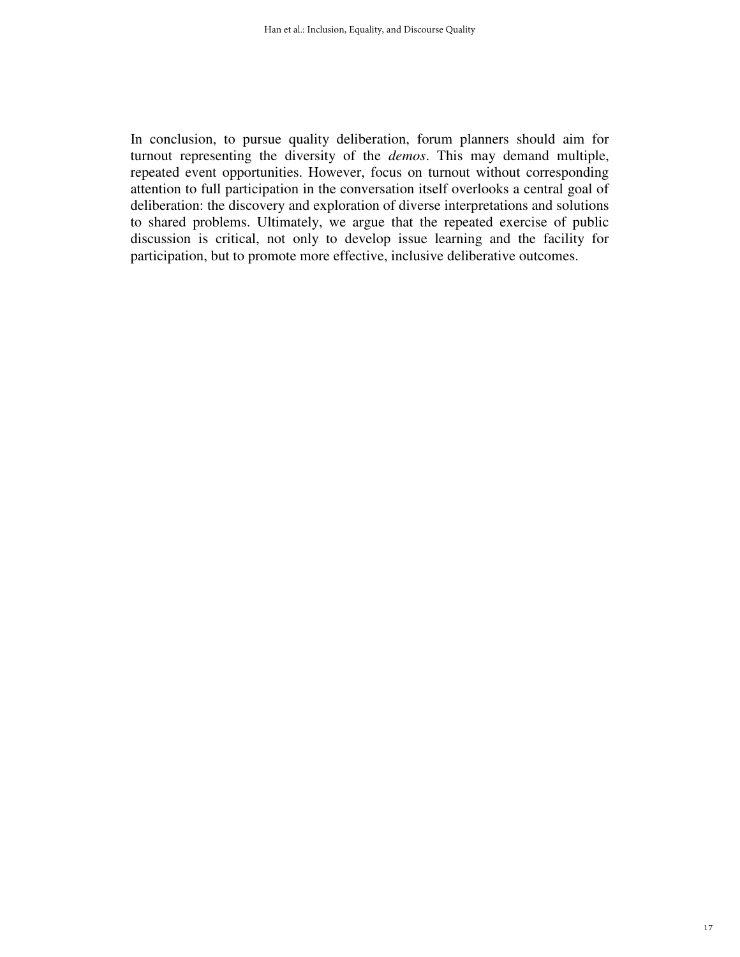In conclusion, to pursue quality deliberation, forum planners should aim for turnout representing the diversity of the *demos*. This may demand multiple, repeated event opportunities. However, focus on turnout without corresponding attention to full participation in the conversation itself overlooks a central goal of deliberation: the discovery and exploration of diverse interpretations and solutions to shared problems. Ultimately, we argue that the repeated exercise of public discussion is critical, not only to develop issue learning and the facility for participation, but to promote more effective, inclusive deliberative outcomes.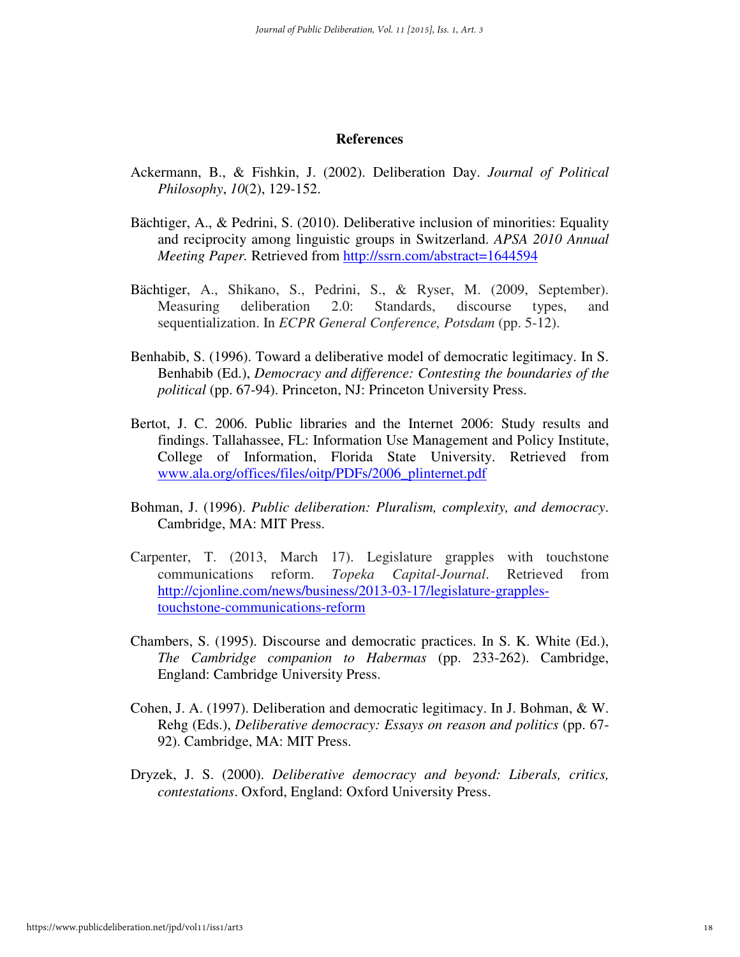#### **References**

- Ackermann, B., & Fishkin, J. (2002). Deliberation Day. *Journal of Political Philosophy*, *10*(2), 129-152.
- Bächtiger, A., & Pedrini, S. (2010). Deliberative inclusion of minorities: Equality and reciprocity among linguistic groups in Switzerland. *APSA 2010 Annual Meeting Paper.* Retrieved from http://ssrn.com/abstract=1644594
- Bächtiger, A., Shikano, S., Pedrini, S., & Ryser, M. (2009, September). Measuring deliberation 2.0: Standards, discourse types, and sequentialization. In *ECPR General Conference, Potsdam* (pp. 5-12).
- Benhabib, S. (1996). Toward a deliberative model of democratic legitimacy. In S. Benhabib (Ed.), *Democracy and difference: Contesting the boundaries of the political* (pp. 67-94). Princeton, NJ: Princeton University Press.
- Bertot, J. C. 2006. Public libraries and the Internet 2006: Study results and findings. Tallahassee, FL: Information Use Management and Policy Institute, College of Information, Florida State University. Retrieved from www.ala.org/offices/files/oitp/PDFs/2006\_plinternet.pdf
- Bohman, J. (1996). *Public deliberation: Pluralism, complexity, and democracy*. Cambridge, MA: MIT Press.
- Carpenter, T. (2013, March 17). Legislature grapples with touchstone communications reform. *Topeka Capital-Journal*. Retrieved from http://cjonline.com/news/business/2013-03-17/legislature-grapplestouchstone-communications-reform
- Chambers, S. (1995). Discourse and democratic practices. In S. K. White (Ed.), *The Cambridge companion to Habermas* (pp. 233-262). Cambridge, England: Cambridge University Press.
- Cohen, J. A. (1997). Deliberation and democratic legitimacy. In J. Bohman, & W. Rehg (Eds.), *Deliberative democracy: Essays on reason and politics* (pp. 67- 92). Cambridge, MA: MIT Press.
- Dryzek, J. S. (2000). *Deliberative democracy and beyond: Liberals, critics, contestations*. Oxford, England: Oxford University Press.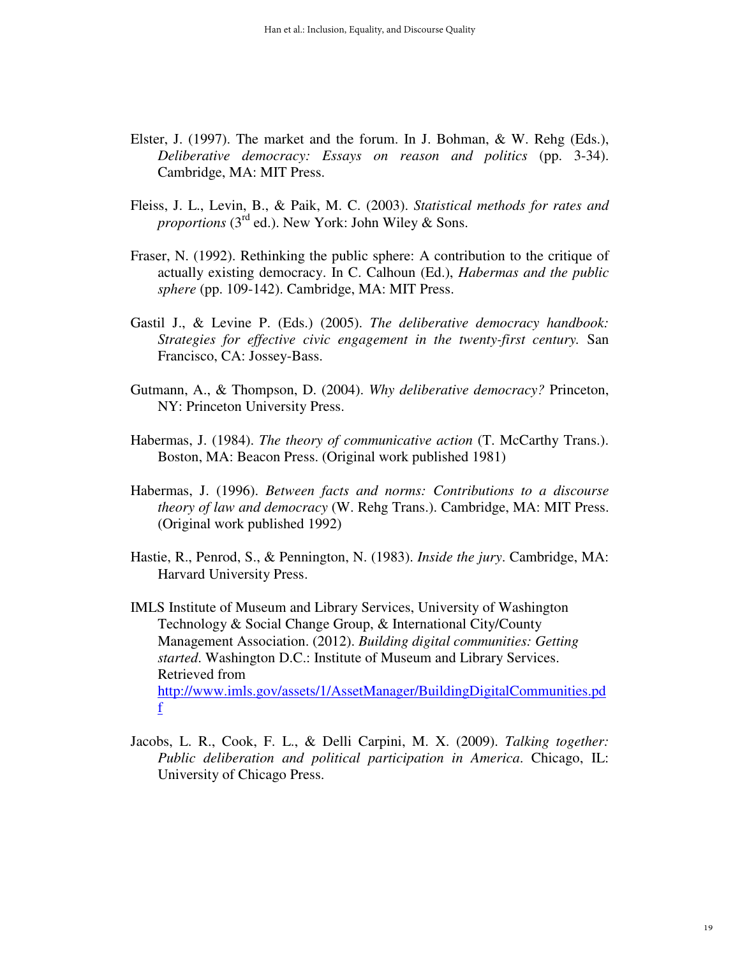- Elster, J. (1997). The market and the forum. In J. Bohman, & W. Rehg (Eds.), *Deliberative democracy: Essays on reason and politics* (pp. 3-34). Cambridge, MA: MIT Press.
- Fleiss, J. L., Levin, B., & Paik, M. C. (2003). *Statistical methods for rates and proportions* (3<sup>rd</sup> ed.). New York: John Wiley & Sons.
- Fraser, N. (1992). Rethinking the public sphere: A contribution to the critique of actually existing democracy. In C. Calhoun (Ed.), *Habermas and the public sphere* (pp. 109-142). Cambridge, MA: MIT Press.
- Gastil J., & Levine P. (Eds.) (2005). *The deliberative democracy handbook: Strategies for effective civic engagement in the twenty-first century.* San Francisco, CA: Jossey-Bass.
- Gutmann, A., & Thompson, D. (2004). *Why deliberative democracy?* Princeton, NY: Princeton University Press.
- Habermas, J. (1984). *The theory of communicative action* (T. McCarthy Trans.). Boston, MA: Beacon Press. (Original work published 1981)
- Habermas, J. (1996). *Between facts and norms: Contributions to a discourse theory of law and democracy* (W. Rehg Trans.). Cambridge, MA: MIT Press. (Original work published 1992)
- Hastie, R., Penrod, S., & Pennington, N. (1983). *Inside the jury*. Cambridge, MA: Harvard University Press.

IMLS Institute of Museum and Library Services, University of Washington Technology & Social Change Group, & International City/County Management Association. (2012). *Building digital communities: Getting started*. Washington D.C.: Institute of Museum and Library Services. Retrieved from http://www.imls.gov/assets/1/AssetManager/BuildingDigitalCommunities.pd f

Jacobs, L. R., Cook, F. L., & Delli Carpini, M. X. (2009). *Talking together: Public deliberation and political participation in America*. Chicago, IL: University of Chicago Press.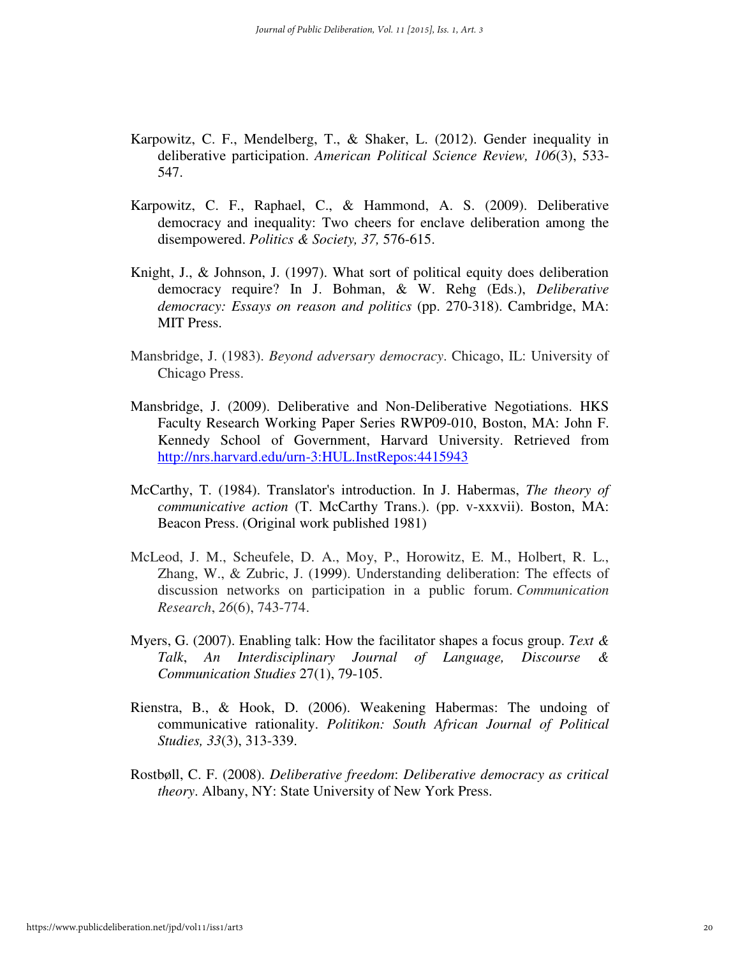- Karpowitz, C. F., Mendelberg, T., & Shaker, L. (2012). Gender inequality in deliberative participation. *American Political Science Review, 106*(3), 533- 547.
- Karpowitz, C. F., Raphael, C., & Hammond, A. S. (2009). Deliberative democracy and inequality: Two cheers for enclave deliberation among the disempowered. *Politics & Society, 37,* 576-615.
- Knight, J., & Johnson, J. (1997). What sort of political equity does deliberation democracy require? In J. Bohman, & W. Rehg (Eds.), *Deliberative democracy: Essays on reason and politics* (pp. 270-318). Cambridge, MA: MIT Press.
- Mansbridge, J. (1983). *Beyond adversary democracy*. Chicago, IL: University of Chicago Press.
- Mansbridge, J. (2009). Deliberative and Non-Deliberative Negotiations. HKS Faculty Research Working Paper Series RWP09-010, Boston, MA: John F. Kennedy School of Government, Harvard University. Retrieved from http://nrs.harvard.edu/urn-3:HUL.InstRepos:4415943
- McCarthy, T. (1984). Translator's introduction. In J. Habermas, *The theory of communicative action* (T. McCarthy Trans.). (pp. v-xxxvii). Boston, MA: Beacon Press. (Original work published 1981)
- McLeod, J. M., Scheufele, D. A., Moy, P., Horowitz, E. M., Holbert, R. L., Zhang, W., & Zubric, J. (1999). Understanding deliberation: The effects of discussion networks on participation in a public forum. *Communication Research*, *26*(6), 743-774.
- Myers, G. (2007). Enabling talk: How the facilitator shapes a focus group. *Text & Talk*, *An Interdisciplinary Journal of Language, Discourse & Communication Studies* 27(1), 79-105.
- Rienstra, B., & Hook, D. (2006). Weakening Habermas: The undoing of communicative rationality. *Politikon: South African Journal of Political Studies, 33*(3), 313-339.
- Rostbøll, C. F. (2008). *Deliberative freedom*: *Deliberative democracy as critical theory*. Albany, NY: State University of New York Press.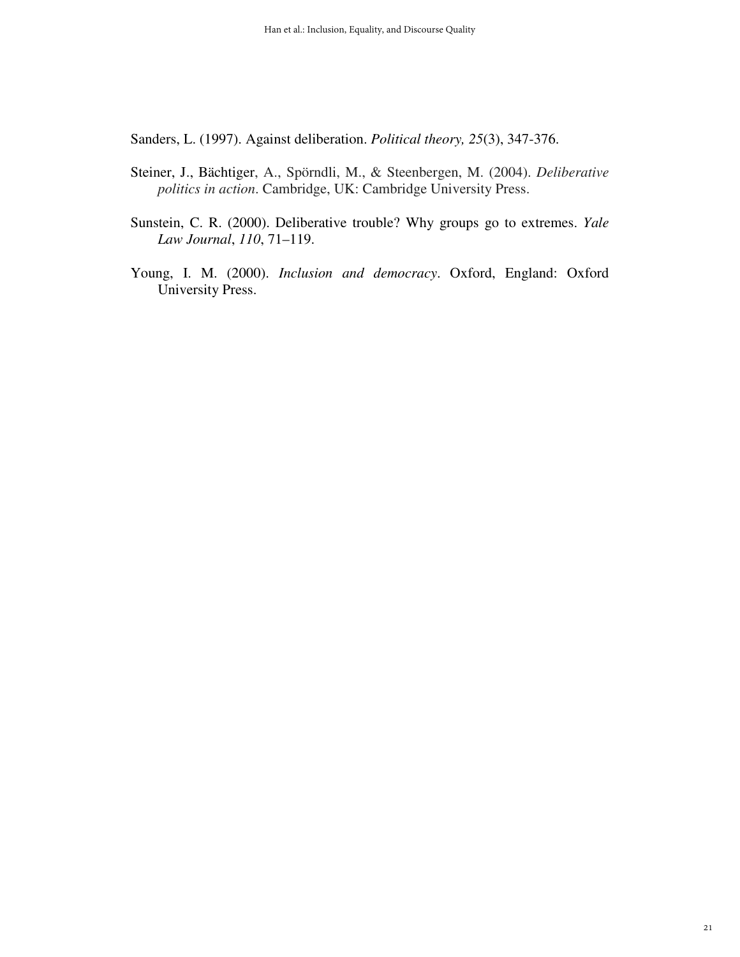Sanders, L. (1997). Against deliberation. *Political theory, 25*(3), 347-376.

- Steiner, J., Bächtiger, A., Spörndli, M., & Steenbergen, M. (2004). *Deliberative politics in action*. Cambridge, UK: Cambridge University Press.
- Sunstein, C. R. (2000). Deliberative trouble? Why groups go to extremes. *Yale Law Journal*, *110*, 71–119.
- Young, I. M. (2000). *Inclusion and democracy*. Oxford, England: Oxford University Press.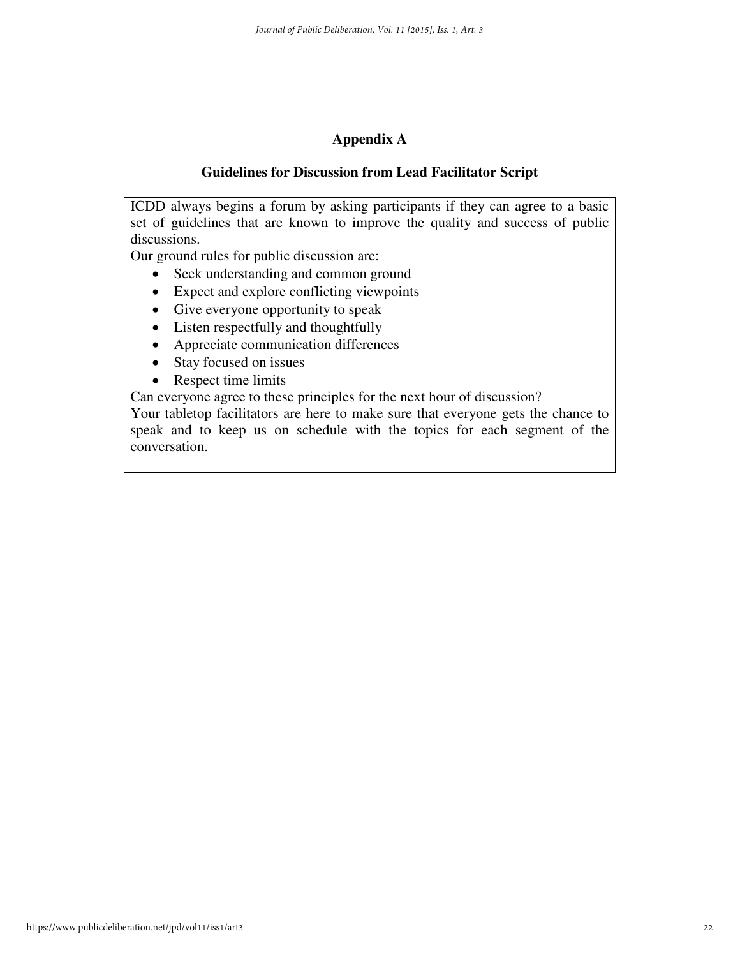# **Appendix A**

# **Guidelines for Discussion from Lead Facilitator Script**

ICDD always begins a forum by asking participants if they can agree to a basic set of guidelines that are known to improve the quality and success of public discussions.

Our ground rules for public discussion are:

- Seek understanding and common ground
- Expect and explore conflicting viewpoints
- Give everyone opportunity to speak
- Listen respectfully and thoughtfully
- Appreciate communication differences
- Stay focused on issues
- Respect time limits

Can everyone agree to these principles for the next hour of discussion?

Your tabletop facilitators are here to make sure that everyone gets the chance to speak and to keep us on schedule with the topics for each segment of the conversation.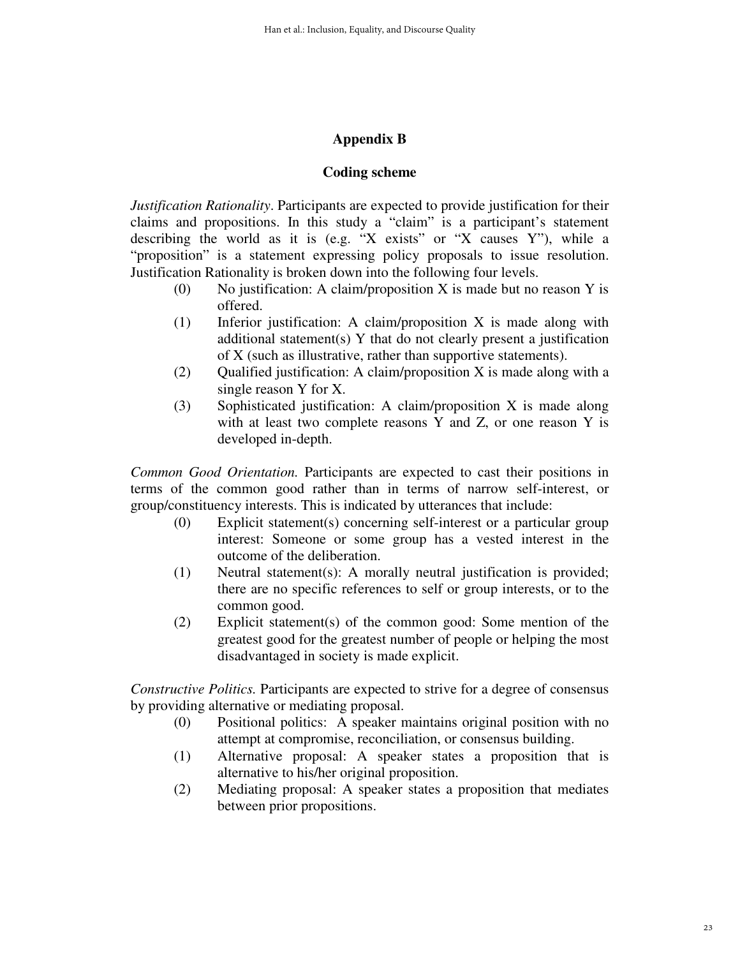# **Appendix B**

# **Coding scheme**

*Justification Rationality*. Participants are expected to provide justification for their claims and propositions. In this study a "claim" is a participant's statement describing the world as it is (e.g. "X exists" or "X causes Y"), while a "proposition" is a statement expressing policy proposals to issue resolution. Justification Rationality is broken down into the following four levels.

- (0) No justification: A claim/proposition X is made but no reason Y is offered.
- (1) Inferior justification: A claim/proposition X is made along with additional statement(s) Y that do not clearly present a justification of X (such as illustrative, rather than supportive statements).
- (2) Qualified justification: A claim/proposition X is made along with a single reason Y for X.
- (3) Sophisticated justification: A claim/proposition X is made along with at least two complete reasons Y and Z, or one reason Y is developed in-depth.

*Common Good Orientation.* Participants are expected to cast their positions in terms of the common good rather than in terms of narrow self-interest, or group/constituency interests. This is indicated by utterances that include:

- (0) Explicit statement(s) concerning self-interest or a particular group interest: Someone or some group has a vested interest in the outcome of the deliberation.
- (1) Neutral statement(s): A morally neutral justification is provided; there are no specific references to self or group interests, or to the common good.
- (2) Explicit statement(s) of the common good: Some mention of the greatest good for the greatest number of people or helping the most disadvantaged in society is made explicit.

*Constructive Politics.* Participants are expected to strive for a degree of consensus by providing alternative or mediating proposal.

- (0) Positional politics: A speaker maintains original position with no attempt at compromise, reconciliation, or consensus building.
- (1) Alternative proposal: A speaker states a proposition that is alternative to his/her original proposition.
- (2) Mediating proposal: A speaker states a proposition that mediates between prior propositions.